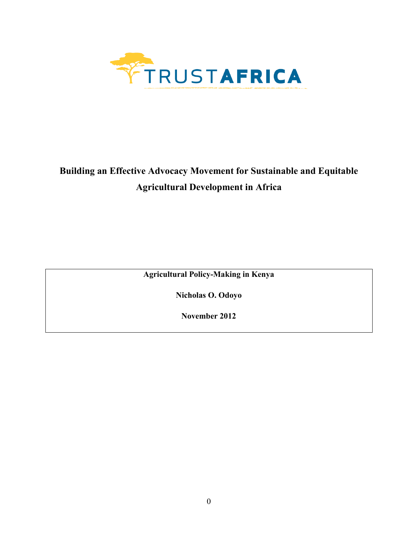

# **Building an Effective Advocacy Movement for Sustainable and Equitable Agricultural Development in Africa**

**Agricultural Policy-Making in Kenya** 

**Nicholas O. Odoyo** 

**November 2012**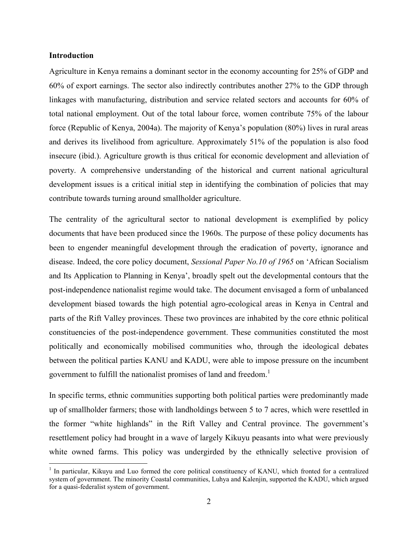## **Introduction**

 $\overline{a}$ 

Agriculture in Kenya remains a dominant sector in the economy accounting for 25% of GDP and 60% of export earnings. The sector also indirectly contributes another 27% to the GDP through linkages with manufacturing, distribution and service related sectors and accounts for 60% of total national employment. Out of the total labour force, women contribute 75% of the labour force (Republic of Kenya, 2004a). The majority of Kenya's population (80%) lives in rural areas and derives its livelihood from agriculture. Approximately 51% of the population is also food insecure (ibid.). Agriculture growth is thus critical for economic development and alleviation of poverty. A comprehensive understanding of the historical and current national agricultural development issues is a critical initial step in identifying the combination of policies that may contribute towards turning around smallholder agriculture.

The centrality of the agricultural sector to national development is exemplified by policy documents that have been produced since the 1960s. The purpose of these policy documents has been to engender meaningful development through the eradication of poverty, ignorance and disease. Indeed, the core policy document, *Sessional Paper No.10 of 1965* on 'African Socialism and Its Application to Planning in Kenya', broadly spelt out the developmental contours that the post-independence nationalist regime would take. The document envisaged a form of unbalanced development biased towards the high potential agro-ecological areas in Kenya in Central and parts of the Rift Valley provinces. These two provinces are inhabited by the core ethnic political constituencies of the post-independence government. These communities constituted the most politically and economically mobilised communities who, through the ideological debates between the political parties KANU and KADU, were able to impose pressure on the incumbent government to fulfill the nationalist promises of land and freedom.<sup>1</sup>

In specific terms, ethnic communities supporting both political parties were predominantly made up of smallholder farmers; those with landholdings between 5 to 7 acres, which were resettled in the former "white highlands" in the Rift Valley and Central province. The government's resettlement policy had brought in a wave of largely Kikuyu peasants into what were previously white owned farms. This policy was undergirded by the ethnically selective provision of

<sup>&</sup>lt;sup>1</sup> In particular, Kikuyu and Luo formed the core political constituency of KANU, which fronted for a centralized system of government. The minority Coastal communities, Luhya and Kalenjin, supported the KADU, which argued for a quasi-federalist system of government.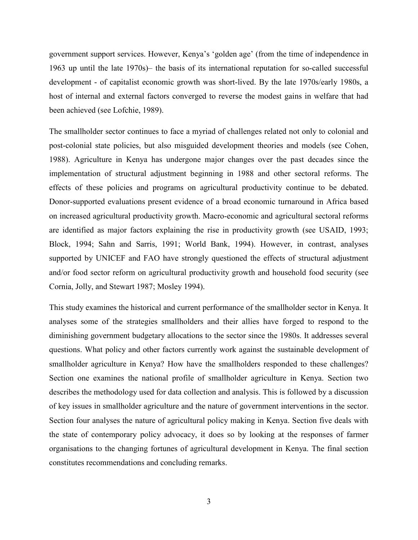government support services. However, Kenya's 'golden age' (from the time of independence in 1963 up until the late 1970s)– the basis of its international reputation for so-called successful development - of capitalist economic growth was short-lived. By the late 1970s/early 1980s, a host of internal and external factors converged to reverse the modest gains in welfare that had been achieved (see Lofchie, 1989).

The smallholder sector continues to face a myriad of challenges related not only to colonial and post-colonial state policies, but also misguided development theories and models (see Cohen, 1988). Agriculture in Kenya has undergone major changes over the past decades since the implementation of structural adjustment beginning in 1988 and other sectoral reforms. The effects of these policies and programs on agricultural productivity continue to be debated. Donor-supported evaluations present evidence of a broad economic turnaround in Africa based on increased agricultural productivity growth. Macro-economic and agricultural sectoral reforms are identified as major factors explaining the rise in productivity growth (see USAID, 1993; Block, 1994; Sahn and Sarris, 1991; World Bank, 1994). However, in contrast, analyses supported by UNICEF and FAO have strongly questioned the effects of structural adjustment and/or food sector reform on agricultural productivity growth and household food security (see Cornia, Jolly, and Stewart 1987; Mosley 1994).

This study examines the historical and current performance of the smallholder sector in Kenya. It analyses some of the strategies smallholders and their allies have forged to respond to the diminishing government budgetary allocations to the sector since the 1980s. It addresses several questions. What policy and other factors currently work against the sustainable development of smallholder agriculture in Kenya? How have the smallholders responded to these challenges? Section one examines the national profile of smallholder agriculture in Kenya. Section two describes the methodology used for data collection and analysis. This is followed by a discussion of key issues in smallholder agriculture and the nature of government interventions in the sector. Section four analyses the nature of agricultural policy making in Kenya. Section five deals with the state of contemporary policy advocacy, it does so by looking at the responses of farmer organisations to the changing fortunes of agricultural development in Kenya. The final section constitutes recommendations and concluding remarks.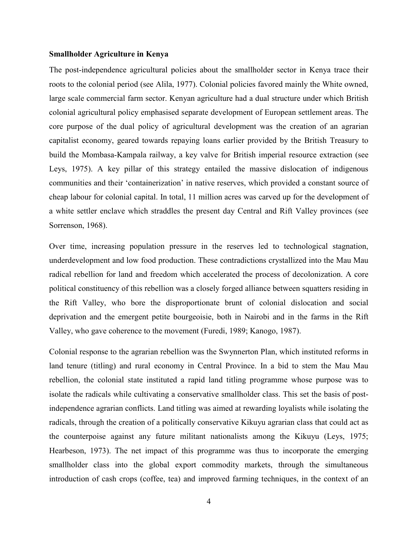## **Smallholder Agriculture in Kenya**

The post-independence agricultural policies about the smallholder sector in Kenya trace their roots to the colonial period (see Alila, 1977). Colonial policies favored mainly the White owned, large scale commercial farm sector. Kenyan agriculture had a dual structure under which British colonial agricultural policy emphasised separate development of European settlement areas. The core purpose of the dual policy of agricultural development was the creation of an agrarian capitalist economy, geared towards repaying loans earlier provided by the British Treasury to build the Mombasa-Kampala railway, a key valve for British imperial resource extraction (see Leys, 1975). A key pillar of this strategy entailed the massive dislocation of indigenous communities and their 'containerization' in native reserves, which provided a constant source of cheap labour for colonial capital. In total, 11 million acres was carved up for the development of a white settler enclave which straddles the present day Central and Rift Valley provinces (see Sorrenson, 1968).

Over time, increasing population pressure in the reserves led to technological stagnation, underdevelopment and low food production. These contradictions crystallized into the Mau Mau radical rebellion for land and freedom which accelerated the process of decolonization. A core political constituency of this rebellion was a closely forged alliance between squatters residing in the Rift Valley, who bore the disproportionate brunt of colonial dislocation and social deprivation and the emergent petite bourgeoisie, both in Nairobi and in the farms in the Rift Valley, who gave coherence to the movement (Furedi, 1989; Kanogo, 1987).

Colonial response to the agrarian rebellion was the Swynnerton Plan, which instituted reforms in land tenure (titling) and rural economy in Central Province. In a bid to stem the Mau Mau rebellion, the colonial state instituted a rapid land titling programme whose purpose was to isolate the radicals while cultivating a conservative smallholder class. This set the basis of postindependence agrarian conflicts. Land titling was aimed at rewarding loyalists while isolating the radicals, through the creation of a politically conservative Kikuyu agrarian class that could act as the counterpoise against any future militant nationalists among the Kikuyu (Leys, 1975; Hearbeson, 1973). The net impact of this programme was thus to incorporate the emerging smallholder class into the global export commodity markets, through the simultaneous introduction of cash crops (coffee, tea) and improved farming techniques, in the context of an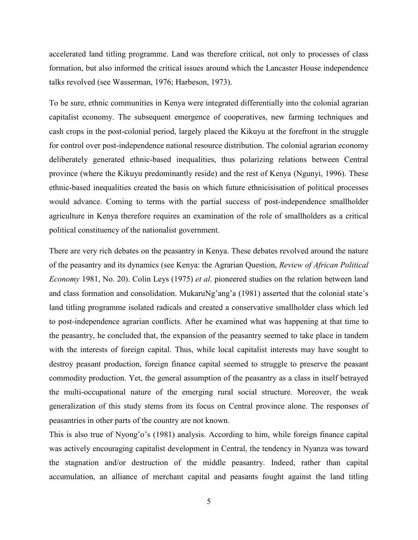accelerated land titling programme. Land was therefore critical, not only to processes of class formation, but also informed the critical issues around which the Lancaster House independence talks revolved (see Wasserman, 1976; Harbeson, 1973).

To be sure, ethnic communities in Kenya were integrated differentially into the colonial agrarian capitalist economy. The subsequent emergence of cooperatives, new farming techniques and cash crops in the post-colonial period, largely placed the Kikuyu at the forefront in the struggle for control over post-independence national resource distribution. The colonial agrarian economy deliberately generated ethnic-based inequalities, thus polarizing relations between Central province (where the Kikuyu predominantly reside) and the rest of Kenya (Ngunyi, 1996). These ethnic-based inequalities created the basis on which future ethnicisisation of political processes would advance. Coming to terms with the partial success of post-independence smallholder agriculture in Kenya therefore requires an examination of the role of smallholders as a critical political constituency of the nationalist government.

There are very rich debates on the peasantry in Kenya. These debates revolved around the nature of the peasantry and its dynamics (see Kenya: the Agrarian Question, *Review of African Political Economy* 1981, No. 20). Colin Leys (1975) *et al*. pioneered studies on the relation between land and class formation and consolidation. MukaruNg'ang'a (1981) asserted that the colonial state's land titling programme isolated radicals and created a conservative smallholder class which led to post-independence agrarian conflicts. After he examined what was happening at that time to the peasantry, he concluded that, the expansion of the peasantry seemed to take place in tandem with the interests of foreign capital. Thus, while local capitalist interests may have sought to destroy peasant production, foreign finance capital seemed to struggle to preserve the peasant commodity production. Yet, the general assumption of the peasantry as a class in itself betrayed the multi-occupational nature of the emerging rural social structure. Moreover, the weak generalization of this study stems from its focus on Central province alone. The responses of peasantries in other parts of the country are not known.

This is also true of Nyong'o's (1981) analysis. According to him, while foreign finance capital was actively encouraging capitalist development in Central, the tendency in Nyanza was toward the stagnation and/or destruction of the middle peasantry. Indeed, rather than capital accumulation, an alliance of merchant capital and peasants fought against the land titling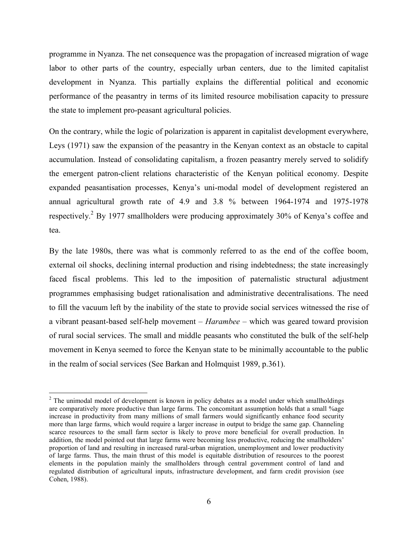programme in Nyanza. The net consequence was the propagation of increased migration of wage labor to other parts of the country, especially urban centers, due to the limited capitalist development in Nyanza. This partially explains the differential political and economic performance of the peasantry in terms of its limited resource mobilisation capacity to pressure the state to implement pro-peasant agricultural policies.

On the contrary, while the logic of polarization is apparent in capitalist development everywhere, Leys (1971) saw the expansion of the peasantry in the Kenyan context as an obstacle to capital accumulation. Instead of consolidating capitalism, a frozen peasantry merely served to solidify the emergent patron-client relations characteristic of the Kenyan political economy. Despite expanded peasantisation processes, Kenya's uni-modal model of development registered an annual agricultural growth rate of 4.9 and 3.8 % between 1964-1974 and 1975-1978 respectively.<sup>2</sup> By 1977 smallholders were producing approximately 30% of Kenya's coffee and tea.

By the late 1980s, there was what is commonly referred to as the end of the coffee boom, external oil shocks, declining internal production and rising indebtedness; the state increasingly faced fiscal problems. This led to the imposition of paternalistic structural adjustment programmes emphasising budget rationalisation and administrative decentralisations. The need to fill the vacuum left by the inability of the state to provide social services witnessed the rise of a vibrant peasant-based self-help movement – *Harambee* – which was geared toward provision of rural social services. The small and middle peasants who constituted the bulk of the self-help movement in Kenya seemed to force the Kenyan state to be minimally accountable to the public in the realm of social services (See Barkan and Holmquist 1989, p.361).

 $\overline{a}$ 

 $2$  The unimodal model of development is known in policy debates as a model under which smallholdings are comparatively more productive than large farms. The concomitant assumption holds that a small %age increase in productivity from many millions of small farmers would significantly enhance food security more than large farms, which would require a larger increase in output to bridge the same gap. Channeling scarce resources to the small farm sector is likely to prove more beneficial for overall production. In addition, the model pointed out that large farms were becoming less productive, reducing the smallholders' proportion of land and resulting in increased rural-urban migration, unemployment and lower productivity of large farms. Thus, the main thrust of this model is equitable distribution of resources to the poorest elements in the population mainly the smallholders through central government control of land and regulated distribution of agricultural inputs, infrastructure development, and farm credit provision (see Cohen, 1988).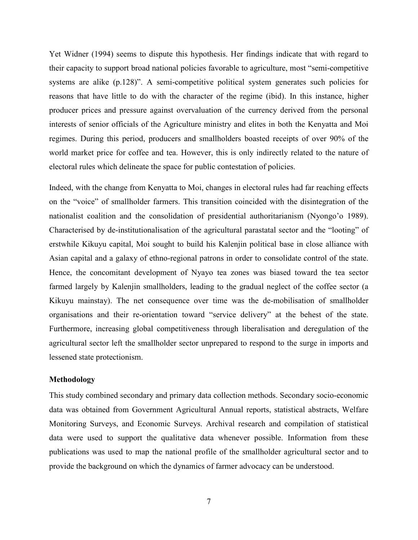Yet Widner (1994) seems to dispute this hypothesis. Her findings indicate that with regard to their capacity to support broad national policies favorable to agriculture, most "semi-competitive systems are alike (p.128)". A semi-competitive political system generates such policies for reasons that have little to do with the character of the regime (ibid). In this instance, higher producer prices and pressure against overvaluation of the currency derived from the personal interests of senior officials of the Agriculture ministry and elites in both the Kenyatta and Moi regimes. During this period, producers and smallholders boasted receipts of over 90% of the world market price for coffee and tea. However, this is only indirectly related to the nature of electoral rules which delineate the space for public contestation of policies.

Indeed, with the change from Kenyatta to Moi, changes in electoral rules had far reaching effects on the "voice" of smallholder farmers. This transition coincided with the disintegration of the nationalist coalition and the consolidation of presidential authoritarianism (Nyongo'o 1989). Characterised by de-institutionalisation of the agricultural parastatal sector and the "looting" of erstwhile Kikuyu capital, Moi sought to build his Kalenjin political base in close alliance with Asian capital and a galaxy of ethno-regional patrons in order to consolidate control of the state. Hence, the concomitant development of Nyayo tea zones was biased toward the tea sector farmed largely by Kalenjin smallholders, leading to the gradual neglect of the coffee sector (a Kikuyu mainstay). The net consequence over time was the de-mobilisation of smallholder organisations and their re-orientation toward "service delivery" at the behest of the state. Furthermore, increasing global competitiveness through liberalisation and deregulation of the agricultural sector left the smallholder sector unprepared to respond to the surge in imports and lessened state protectionism.

### **Methodology**

This study combined secondary and primary data collection methods. Secondary socio-economic data was obtained from Government Agricultural Annual reports, statistical abstracts, Welfare Monitoring Surveys, and Economic Surveys. Archival research and compilation of statistical data were used to support the qualitative data whenever possible. Information from these publications was used to map the national profile of the smallholder agricultural sector and to provide the background on which the dynamics of farmer advocacy can be understood.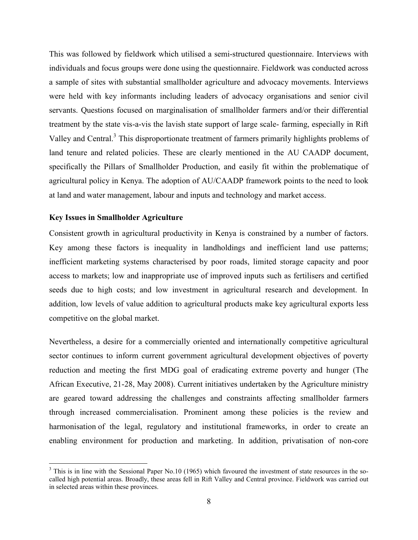This was followed by fieldwork which utilised a semi-structured questionnaire. Interviews with individuals and focus groups were done using the questionnaire. Fieldwork was conducted across a sample of sites with substantial smallholder agriculture and advocacy movements. Interviews were held with key informants including leaders of advocacy organisations and senior civil servants. Questions focused on marginalisation of smallholder farmers and/or their differential treatment by the state vis-a-vis the lavish state support of large scale- farming, especially in Rift Valley and Central.<sup>3</sup> This disproportionate treatment of farmers primarily highlights problems of land tenure and related policies. These are clearly mentioned in the AU CAADP document, specifically the Pillars of Smallholder Production, and easily fit within the problematique of agricultural policy in Kenya. The adoption of AU/CAADP framework points to the need to look at land and water management, labour and inputs and technology and market access.

## **Key Issues in Smallholder Agriculture**

<u>.</u>

Consistent growth in agricultural productivity in Kenya is constrained by a number of factors. Key among these factors is inequality in landholdings and inefficient land use patterns; inefficient marketing systems characterised by poor roads, limited storage capacity and poor access to markets; low and inappropriate use of improved inputs such as fertilisers and certified seeds due to high costs; and low investment in agricultural research and development. In addition, low levels of value addition to agricultural products make key agricultural exports less competitive on the global market.

Nevertheless, a desire for a commercially oriented and internationally competitive agricultural sector continues to inform current government agricultural development objectives of poverty reduction and meeting the first MDG goal of eradicating extreme poverty and hunger (The African Executive, 21-28, May 2008). Current initiatives undertaken by the Agriculture ministry are geared toward addressing the challenges and constraints affecting smallholder farmers through increased commercialisation. Prominent among these policies is the review and harmonisation of the legal, regulatory and institutional frameworks, in order to create an enabling environment for production and marketing. In addition, privatisation of non-core

 $3$  This is in line with the Sessional Paper No.10 (1965) which favoured the investment of state resources in the socalled high potential areas. Broadly, these areas fell in Rift Valley and Central province. Fieldwork was carried out in selected areas within these provinces.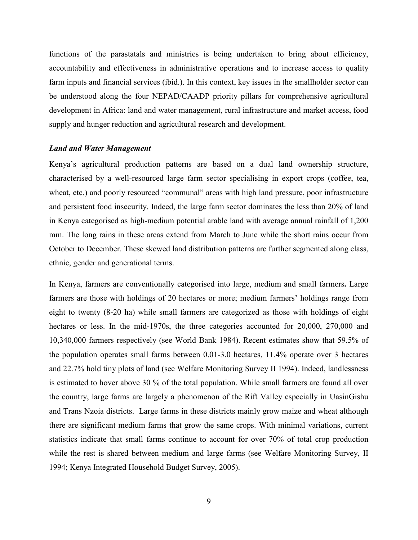functions of the parastatals and ministries is being undertaken to bring about efficiency, accountability and effectiveness in administrative operations and to increase access to quality farm inputs and financial services (ibid.). In this context, key issues in the smallholder sector can be understood along the four NEPAD/CAADP priority pillars for comprehensive agricultural development in Africa: land and water management, rural infrastructure and market access, food supply and hunger reduction and agricultural research and development.

#### *Land and Water Management*

Kenya's agricultural production patterns are based on a dual land ownership structure, characterised by a well-resourced large farm sector specialising in export crops (coffee, tea, wheat, etc.) and poorly resourced "communal" areas with high land pressure, poor infrastructure and persistent food insecurity. Indeed, the large farm sector dominates the less than 20% of land in Kenya categorised as high-medium potential arable land with average annual rainfall of 1,200 mm. The long rains in these areas extend from March to June while the short rains occur from October to December. These skewed land distribution patterns are further segmented along class, ethnic, gender and generational terms.

In Kenya, farmers are conventionally categorised into large, medium and small farmers**.** Large farmers are those with holdings of 20 hectares or more; medium farmers' holdings range from eight to twenty (8-20 ha) while small farmers are categorized as those with holdings of eight hectares or less. In the mid-1970s, the three categories accounted for 20,000, 270,000 and 10,340,000 farmers respectively (see World Bank 1984). Recent estimates show that 59.5% of the population operates small farms between 0.01-3.0 hectares, 11.4% operate over 3 hectares and 22.7% hold tiny plots of land (see Welfare Monitoring Survey II 1994). Indeed, landlessness is estimated to hover above 30 % of the total population. While small farmers are found all over the country, large farms are largely a phenomenon of the Rift Valley especially in UasinGishu and Trans Nzoia districts. Large farms in these districts mainly grow maize and wheat although there are significant medium farms that grow the same crops. With minimal variations, current statistics indicate that small farms continue to account for over 70% of total crop production while the rest is shared between medium and large farms (see Welfare Monitoring Survey, II 1994; Kenya Integrated Household Budget Survey, 2005).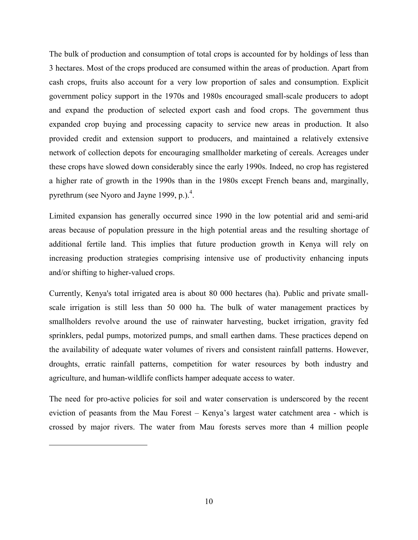The bulk of production and consumption of total crops is accounted for by holdings of less than 3 hectares. Most of the crops produced are consumed within the areas of production. Apart from cash crops, fruits also account for a very low proportion of sales and consumption. Explicit government policy support in the 1970s and 1980s encouraged small-scale producers to adopt and expand the production of selected export cash and food crops. The government thus expanded crop buying and processing capacity to service new areas in production. It also provided credit and extension support to producers, and maintained a relatively extensive network of collection depots for encouraging smallholder marketing of cereals. Acreages under these crops have slowed down considerably since the early 1990s. Indeed, no crop has registered a higher rate of growth in the 1990s than in the 1980s except French beans and, marginally, pyrethrum (see Nyoro and Jayne 1999, p.). $^4$ .

Limited expansion has generally occurred since 1990 in the low potential arid and semi-arid areas because of population pressure in the high potential areas and the resulting shortage of additional fertile land. This implies that future production growth in Kenya will rely on increasing production strategies comprising intensive use of productivity enhancing inputs and/or shifting to higher-valued crops.

Currently, Kenya's total irrigated area is about 80 000 hectares (ha). Public and private smallscale irrigation is still less than 50 000 ha. The bulk of water management practices by smallholders revolve around the use of rainwater harvesting, bucket irrigation, gravity fed sprinklers, pedal pumps, motorized pumps, and small earthen dams. These practices depend on the availability of adequate water volumes of rivers and consistent rainfall patterns. However, droughts, erratic rainfall patterns, competition for water resources by both industry and agriculture, and human-wildlife conflicts hamper adequate access to water.

The need for pro-active policies for soil and water conservation is underscored by the recent eviction of peasants from the Mau Forest – Kenya's largest water catchment area - which is crossed by major rivers. The water from Mau forests serves more than 4 million people

 $\overline{a}$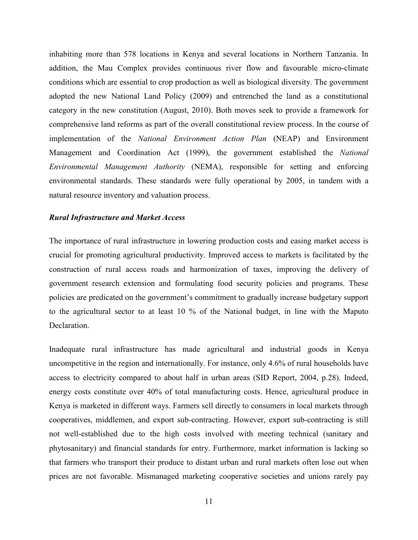inhabiting more than 578 locations in Kenya and several locations in Northern Tanzania. In addition, the Mau Complex provides continuous river flow and favourable micro-climate conditions which are essential to crop production as well as biological diversity. The government adopted the new National Land Policy (2009) and entrenched the land as a constitutional category in the new constitution (August, 2010). Both moves seek to provide a framework for comprehensive land reforms as part of the overall constitutional review process. In the course of implementation of the *National Environment Action Plan* (NEAP) and Environment Management and Coordination Act (1999), the government established the *National Environmental Management Authority* (NEMA), responsible for setting and enforcing environmental standards. These standards were fully operational by 2005, in tandem with a natural resource inventory and valuation process.

#### *Rural Infrastructure and Market Access*

The importance of rural infrastructure in lowering production costs and easing market access is crucial for promoting agricultural productivity. Improved access to markets is facilitated by the construction of rural access roads and harmonization of taxes, improving the delivery of government research extension and formulating food security policies and programs. These policies are predicated on the government's commitment to gradually increase budgetary support to the agricultural sector to at least 10 % of the National budget, in line with the Maputo Declaration.

Inadequate rural infrastructure has made agricultural and industrial goods in Kenya uncompetitive in the region and internationally. For instance, only 4.6% of rural households have access to electricity compared to about half in urban areas (SID Report, 2004, p.28). Indeed, energy costs constitute over 40% of total manufacturing costs. Hence, agricultural produce in Kenya is marketed in different ways. Farmers sell directly to consumers in local markets through cooperatives, middlemen, and export sub-contracting. However, export sub-contracting is still not well-established due to the high costs involved with meeting technical (sanitary and phytosanitary) and financial standards for entry. Furthermore, market information is lacking so that farmers who transport their produce to distant urban and rural markets often lose out when prices are not favorable. Mismanaged marketing cooperative societies and unions rarely pay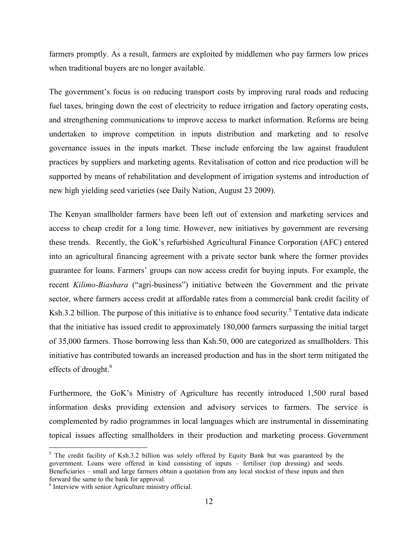farmers promptly. As a result, farmers are exploited by middlemen who pay farmers low prices when traditional buyers are no longer available.

The government's focus is on reducing transport costs by improving rural roads and reducing fuel taxes, bringing down the cost of electricity to reduce irrigation and factory operating costs, and strengthening communications to improve access to market information. Reforms are being undertaken to improve competition in inputs distribution and marketing and to resolve governance issues in the inputs market. These include enforcing the law against fraudulent practices by suppliers and marketing agents. Revitalisation of cotton and rice production will be supported by means of rehabilitation and development of irrigation systems and introduction of new high yielding seed varieties (see Daily Nation, August 23 2009).

The Kenyan smallholder farmers have been left out of extension and marketing services and access to cheap credit for a long time. However, new initiatives by government are reversing these trends. Recently, the GoK's refurbished Agricultural Finance Corporation (AFC) entered into an agricultural financing agreement with a private sector bank where the former provides guarantee for loans. Farmers' groups can now access credit for buying inputs. For example, the recent *Kilimo-Biashara* ("agri-business") initiative between the Government and the private sector, where farmers access credit at affordable rates from a commercial bank credit facility of Ksh.3.2 billion. The purpose of this initiative is to enhance food security.<sup>5</sup> Tentative data indicate that the initiative has issued credit to approximately 180,000 farmers surpassing the initial target of 35,000 farmers. Those borrowing less than Ksh.50, 000 are categorized as smallholders. This initiative has contributed towards an increased production and has in the short term mitigated the effects of drought.<sup>6</sup>

Furthermore, the GoK's Ministry of Agriculture has recently introduced 1,500 rural based information desks providing extension and advisory services to farmers. The service is complemented by radio programmes in local languages which are instrumental in disseminating topical issues affecting smallholders in their production and marketing process. Government

<sup>&</sup>lt;sup>5</sup> The credit facility of Ksh.3.2 billion was solely offered by Equity Bank but was guaranteed by the government. Loans were offered in kind consisting of inputs – fertiliser (top dressing) and seeds. Beneficiaries – small and large farmers obtain a quotation from any local stockist of these inputs and then forward the same to the bank for approval.

<sup>6</sup> Interview with senior Agriculture ministry official.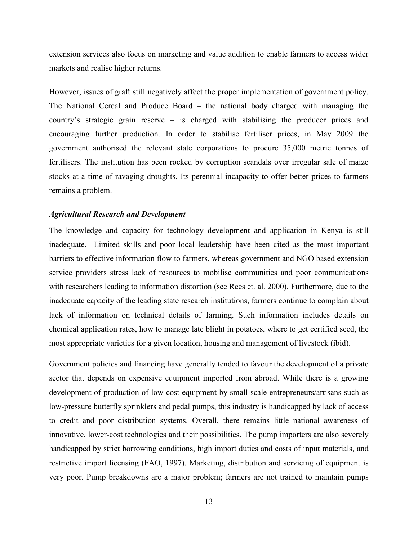extension services also focus on marketing and value addition to enable farmers to access wider markets and realise higher returns.

However, issues of graft still negatively affect the proper implementation of government policy. The National Cereal and Produce Board – the national body charged with managing the country's strategic grain reserve – is charged with stabilising the producer prices and encouraging further production. In order to stabilise fertiliser prices, in May 2009 the government authorised the relevant state corporations to procure 35,000 metric tonnes of fertilisers. The institution has been rocked by corruption scandals over irregular sale of maize stocks at a time of ravaging droughts. Its perennial incapacity to offer better prices to farmers remains a problem.

## *Agricultural Research and Development*

The knowledge and capacity for technology development and application in Kenya is still inadequate. Limited skills and poor local leadership have been cited as the most important barriers to effective information flow to farmers, whereas government and NGO based extension service providers stress lack of resources to mobilise communities and poor communications with researchers leading to information distortion (see Rees et. al. 2000). Furthermore, due to the inadequate capacity of the leading state research institutions, farmers continue to complain about lack of information on technical details of farming. Such information includes details on chemical application rates, how to manage late blight in potatoes, where to get certified seed, the most appropriate varieties for a given location, housing and management of livestock (ibid).

Government policies and financing have generally tended to favour the development of a private sector that depends on expensive equipment imported from abroad. While there is a growing development of production of low-cost equipment by small-scale entrepreneurs/artisans such as low-pressure butterfly sprinklers and pedal pumps, this industry is handicapped by lack of access to credit and poor distribution systems. Overall, there remains little national awareness of innovative, lower-cost technologies and their possibilities. The pump importers are also severely handicapped by strict borrowing conditions, high import duties and costs of input materials, and restrictive import licensing (FAO, 1997). Marketing, distribution and servicing of equipment is very poor. Pump breakdowns are a major problem; farmers are not trained to maintain pumps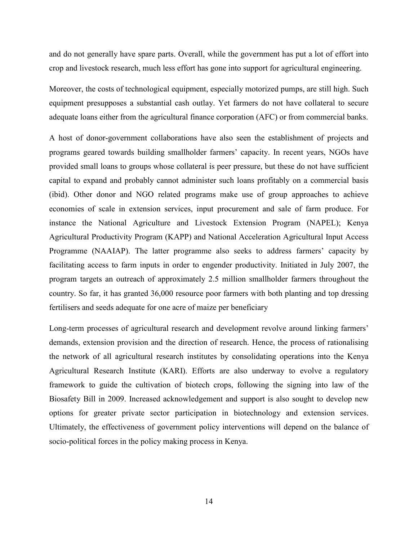and do not generally have spare parts. Overall, while the government has put a lot of effort into crop and livestock research, much less effort has gone into support for agricultural engineering.

Moreover, the costs of technological equipment, especially motorized pumps, are still high. Such equipment presupposes a substantial cash outlay. Yet farmers do not have collateral to secure adequate loans either from the agricultural finance corporation (AFC) or from commercial banks.

A host of donor-government collaborations have also seen the establishment of projects and programs geared towards building smallholder farmers' capacity. In recent years, NGOs have provided small loans to groups whose collateral is peer pressure, but these do not have sufficient capital to expand and probably cannot administer such loans profitably on a commercial basis (ibid). Other donor and NGO related programs make use of group approaches to achieve economies of scale in extension services, input procurement and sale of farm produce. For instance the National Agriculture and Livestock Extension Program (NAPEL); Kenya Agricultural Productivity Program (KAPP) and National Acceleration Agricultural Input Access Programme (NAAIAP). The latter programme also seeks to address farmers' capacity by facilitating access to farm inputs in order to engender productivity. Initiated in July 2007, the program targets an outreach of approximately 2.5 million smallholder farmers throughout the country. So far, it has granted 36,000 resource poor farmers with both planting and top dressing fertilisers and seeds adequate for one acre of maize per beneficiary

Long-term processes of agricultural research and development revolve around linking farmers' demands, extension provision and the direction of research. Hence, the process of rationalising the network of all agricultural research institutes by consolidating operations into the Kenya Agricultural Research Institute (KARI). Efforts are also underway to evolve a regulatory framework to guide the cultivation of biotech crops, following the signing into law of the Biosafety Bill in 2009. Increased acknowledgement and support is also sought to develop new options for greater private sector participation in biotechnology and extension services. Ultimately, the effectiveness of government policy interventions will depend on the balance of socio-political forces in the policy making process in Kenya.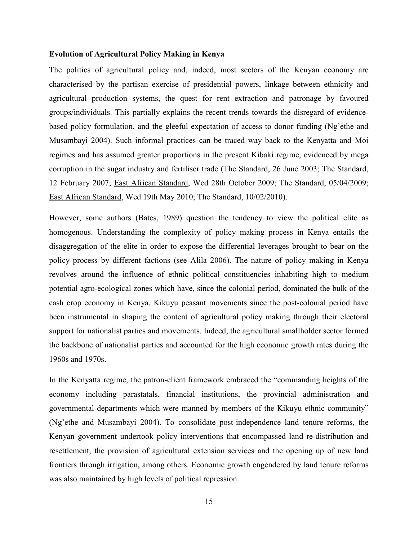## **Evolution of Agricultural Policy Making in Kenya**

The politics of agricultural policy and, indeed, most sectors of the Kenyan economy are characterised by the partisan exercise of presidential powers, linkage between ethnicity and agricultural production systems, the quest for rent extraction and patronage by favoured groups/individuals. This partially explains the recent trends towards the disregard of evidencebased policy formulation, and the gleeful expectation of access to donor funding (Ng'ethe and Musambayi 2004). Such informal practices can be traced way back to the Kenyatta and Moi regimes and has assumed greater proportions in the present Kibaki regime, evidenced by mega corruption in the sugar industry and fertiliser trade (The Standard, 26 June 2003; The Standard, 12 February 2007; East African Standard, Wed 28th October 2009; The Standard, 05/04/2009; East African Standard, Wed 19th May 2010; The Standard, 10/02/2010).

However, some authors (Bates, 1989) question the tendency to view the political elite as homogenous. Understanding the complexity of policy making process in Kenya entails the disaggregation of the elite in order to expose the differential leverages brought to bear on the policy process by different factions (see Alila 2006). The nature of policy making in Kenya revolves around the influence of ethnic political constituencies inhabiting high to medium potential agro-ecological zones which have, since the colonial period, dominated the bulk of the cash crop economy in Kenya. Kikuyu peasant movements since the post-colonial period have been instrumental in shaping the content of agricultural policy making through their electoral support for nationalist parties and movements. Indeed, the agricultural smallholder sector formed the backbone of nationalist parties and accounted for the high economic growth rates during the 1960s and 1970s.

In the Kenyatta regime, the patron-client framework embraced the "commanding heights of the economy including parastatals, financial institutions, the provincial administration and governmental departments which were manned by members of the Kikuyu ethnic community" (Ng'ethe and Musambayi 2004). To consolidate post-independence land tenure reforms, the Kenyan government undertook policy interventions that encompassed land re-distribution and resettlement, the provision of agricultural extension services and the opening up of new land frontiers through irrigation, among others. Economic growth engendered by land tenure reforms was also maintained by high levels of political repression.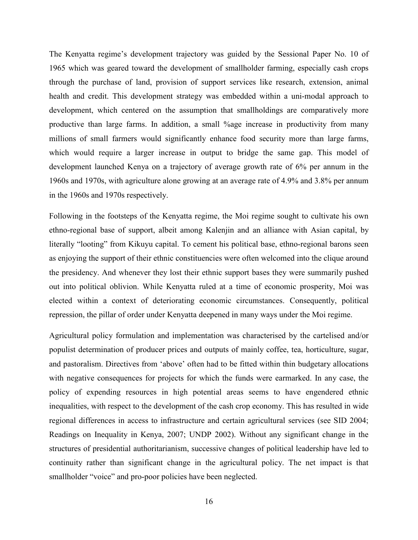The Kenyatta regime's development trajectory was guided by the Sessional Paper No. 10 of 1965 which was geared toward the development of smallholder farming, especially cash crops through the purchase of land, provision of support services like research, extension, animal health and credit. This development strategy was embedded within a uni-modal approach to development, which centered on the assumption that smallholdings are comparatively more productive than large farms. In addition, a small %age increase in productivity from many millions of small farmers would significantly enhance food security more than large farms, which would require a larger increase in output to bridge the same gap. This model of development launched Kenya on a trajectory of average growth rate of 6% per annum in the 1960s and 1970s, with agriculture alone growing at an average rate of 4.9% and 3.8% per annum in the 1960s and 1970s respectively.

Following in the footsteps of the Kenyatta regime, the Moi regime sought to cultivate his own ethno-regional base of support, albeit among Kalenjin and an alliance with Asian capital, by literally "looting" from Kikuyu capital. To cement his political base, ethno-regional barons seen as enjoying the support of their ethnic constituencies were often welcomed into the clique around the presidency. And whenever they lost their ethnic support bases they were summarily pushed out into political oblivion. While Kenyatta ruled at a time of economic prosperity, Moi was elected within a context of deteriorating economic circumstances. Consequently, political repression, the pillar of order under Kenyatta deepened in many ways under the Moi regime.

Agricultural policy formulation and implementation was characterised by the cartelised and/or populist determination of producer prices and outputs of mainly coffee, tea, horticulture, sugar, and pastoralism. Directives from 'above' often had to be fitted within thin budgetary allocations with negative consequences for projects for which the funds were earmarked. In any case, the policy of expending resources in high potential areas seems to have engendered ethnic inequalities, with respect to the development of the cash crop economy. This has resulted in wide regional differences in access to infrastructure and certain agricultural services (see SID 2004; Readings on Inequality in Kenya, 2007; UNDP 2002). Without any significant change in the structures of presidential authoritarianism, successive changes of political leadership have led to continuity rather than significant change in the agricultural policy. The net impact is that smallholder "voice" and pro-poor policies have been neglected.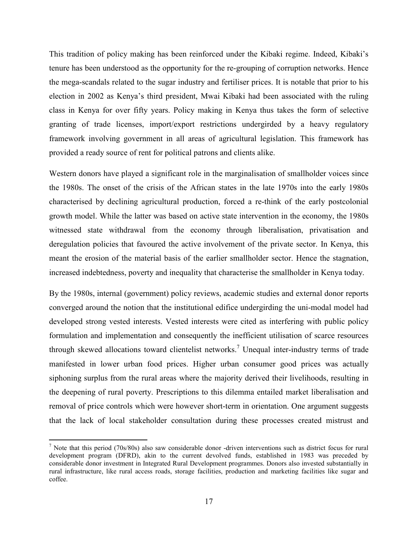This tradition of policy making has been reinforced under the Kibaki regime. Indeed, Kibaki's tenure has been understood as the opportunity for the re-grouping of corruption networks. Hence the mega-scandals related to the sugar industry and fertiliser prices. It is notable that prior to his election in 2002 as Kenya's third president, Mwai Kibaki had been associated with the ruling class in Kenya for over fifty years. Policy making in Kenya thus takes the form of selective granting of trade licenses, import/export restrictions undergirded by a heavy regulatory framework involving government in all areas of agricultural legislation. This framework has provided a ready source of rent for political patrons and clients alike.

Western donors have played a significant role in the marginalisation of smallholder voices since the 1980s. The onset of the crisis of the African states in the late 1970s into the early 1980s characterised by declining agricultural production, forced a re-think of the early postcolonial growth model. While the latter was based on active state intervention in the economy, the 1980s witnessed state withdrawal from the economy through liberalisation, privatisation and deregulation policies that favoured the active involvement of the private sector. In Kenya, this meant the erosion of the material basis of the earlier smallholder sector. Hence the stagnation, increased indebtedness, poverty and inequality that characterise the smallholder in Kenya today.

By the 1980s, internal (government) policy reviews, academic studies and external donor reports converged around the notion that the institutional edifice undergirding the uni-modal model had developed strong vested interests. Vested interests were cited as interfering with public policy formulation and implementation and consequently the inefficient utilisation of scarce resources through skewed allocations toward clientelist networks.<sup>7</sup> Unequal inter-industry terms of trade manifested in lower urban food prices. Higher urban consumer good prices was actually siphoning surplus from the rural areas where the majority derived their livelihoods, resulting in the deepening of rural poverty. Prescriptions to this dilemma entailed market liberalisation and removal of price controls which were however short-term in orientation. One argument suggests that the lack of local stakeholder consultation during these processes created mistrust and

-

 $<sup>7</sup>$  Note that this period (70s/80s) also saw considerable donor -driven interventions such as district focus for rural</sup> development program (DFRD), akin to the current devolved funds, established in 1983 was preceded by considerable donor investment in Integrated Rural Development programmes. Donors also invested substantially in rural infrastructure, like rural access roads, storage facilities, production and marketing facilities like sugar and coffee.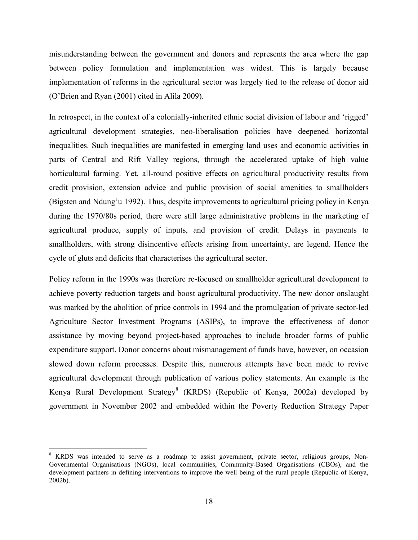misunderstanding between the government and donors and represents the area where the gap between policy formulation and implementation was widest. This is largely because implementation of reforms in the agricultural sector was largely tied to the release of donor aid (O'Brien and Ryan (2001) cited in Alila 2009).

In retrospect, in the context of a colonially-inherited ethnic social division of labour and 'rigged' agricultural development strategies, neo-liberalisation policies have deepened horizontal inequalities. Such inequalities are manifested in emerging land uses and economic activities in parts of Central and Rift Valley regions, through the accelerated uptake of high value horticultural farming. Yet, all-round positive effects on agricultural productivity results from credit provision, extension advice and public provision of social amenities to smallholders (Bigsten and Ndung'u 1992). Thus, despite improvements to agricultural pricing policy in Kenya during the 1970/80s period, there were still large administrative problems in the marketing of agricultural produce, supply of inputs, and provision of credit. Delays in payments to smallholders, with strong disincentive effects arising from uncertainty, are legend. Hence the cycle of gluts and deficits that characterises the agricultural sector.

Policy reform in the 1990s was therefore re-focused on smallholder agricultural development to achieve poverty reduction targets and boost agricultural productivity. The new donor onslaught was marked by the abolition of price controls in 1994 and the promulgation of private sector-led Agriculture Sector Investment Programs (ASIPs), to improve the effectiveness of donor assistance by moving beyond project-based approaches to include broader forms of public expenditure support. Donor concerns about mismanagement of funds have, however, on occasion slowed down reform processes. Despite this, numerous attempts have been made to revive agricultural development through publication of various policy statements. An example is the Kenya Rural Development Strategy<sup>8</sup> (KRDS) (Republic of Kenya, 2002a) developed by government in November 2002 and embedded within the Poverty Reduction Strategy Paper

 $\overline{a}$ 

<sup>&</sup>lt;sup>8</sup> KRDS was intended to serve as a roadmap to assist government, private sector, religious groups, Non-Governmental Organisations (NGOs), local communities, Community-Based Organisations (CBOs), and the development partners in defining interventions to improve the well being of the rural people (Republic of Kenya, 2002b).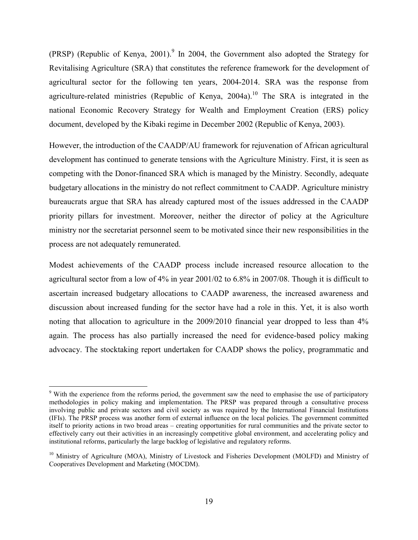(PRSP) (Republic of Kenya, 2001).<sup>9</sup> In 2004, the Government also adopted the Strategy for Revitalising Agriculture (SRA) that constitutes the reference framework for the development of agricultural sector for the following ten years, 2004-2014. SRA was the response from agriculture-related ministries (Republic of Kenya, 2004a).<sup>10</sup> The SRA is integrated in the national Economic Recovery Strategy for Wealth and Employment Creation (ERS) policy document, developed by the Kibaki regime in December 2002 (Republic of Kenya, 2003).

However, the introduction of the CAADP/AU framework for rejuvenation of African agricultural development has continued to generate tensions with the Agriculture Ministry. First, it is seen as competing with the Donor-financed SRA which is managed by the Ministry. Secondly, adequate budgetary allocations in the ministry do not reflect commitment to CAADP. Agriculture ministry bureaucrats argue that SRA has already captured most of the issues addressed in the CAADP priority pillars for investment. Moreover, neither the director of policy at the Agriculture ministry nor the secretariat personnel seem to be motivated since their new responsibilities in the process are not adequately remunerated.

Modest achievements of the CAADP process include increased resource allocation to the agricultural sector from a low of 4% in year 2001/02 to 6.8% in 2007/08. Though it is difficult to ascertain increased budgetary allocations to CAADP awareness, the increased awareness and discussion about increased funding for the sector have had a role in this. Yet, it is also worth noting that allocation to agriculture in the 2009/2010 financial year dropped to less than 4% again. The process has also partially increased the need for evidence-based policy making advocacy. The stocktaking report undertaken for CAADP shows the policy, programmatic and

 $\overline{a}$ 

<sup>&</sup>lt;sup>9</sup> With the experience from the reforms period, the government saw the need to emphasise the use of participatory methodologies in policy making and implementation. The PRSP was prepared through a consultative process involving public and private sectors and civil society as was required by the International Financial Institutions (IFIs). The PRSP process was another form of external influence on the local policies. The government committed itself to priority actions in two broad areas – creating opportunities for rural communities and the private sector to effectively carry out their activities in an increasingly competitive global environment, and accelerating policy and institutional reforms, particularly the large backlog of legislative and regulatory reforms.

<sup>&</sup>lt;sup>10</sup> Ministry of Agriculture (MOA), Ministry of Livestock and Fisheries Development (MOLFD) and Ministry of Cooperatives Development and Marketing (MOCDM).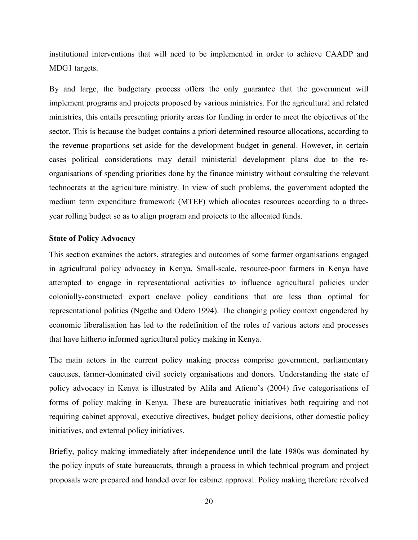institutional interventions that will need to be implemented in order to achieve CAADP and MDG1 targets.

By and large, the budgetary process offers the only guarantee that the government will implement programs and projects proposed by various ministries. For the agricultural and related ministries, this entails presenting priority areas for funding in order to meet the objectives of the sector. This is because the budget contains a priori determined resource allocations, according to the revenue proportions set aside for the development budget in general. However, in certain cases political considerations may derail ministerial development plans due to the reorganisations of spending priorities done by the finance ministry without consulting the relevant technocrats at the agriculture ministry. In view of such problems, the government adopted the medium term expenditure framework (MTEF) which allocates resources according to a threeyear rolling budget so as to align program and projects to the allocated funds.

## **State of Policy Advocacy**

This section examines the actors, strategies and outcomes of some farmer organisations engaged in agricultural policy advocacy in Kenya. Small-scale, resource-poor farmers in Kenya have attempted to engage in representational activities to influence agricultural policies under colonially-constructed export enclave policy conditions that are less than optimal for representational politics (Ngethe and Odero 1994). The changing policy context engendered by economic liberalisation has led to the redefinition of the roles of various actors and processes that have hitherto informed agricultural policy making in Kenya.

The main actors in the current policy making process comprise government, parliamentary caucuses, farmer-dominated civil society organisations and donors. Understanding the state of policy advocacy in Kenya is illustrated by Alila and Atieno's (2004) five categorisations of forms of policy making in Kenya. These are bureaucratic initiatives both requiring and not requiring cabinet approval, executive directives, budget policy decisions, other domestic policy initiatives, and external policy initiatives.

Briefly, policy making immediately after independence until the late 1980s was dominated by the policy inputs of state bureaucrats, through a process in which technical program and project proposals were prepared and handed over for cabinet approval. Policy making therefore revolved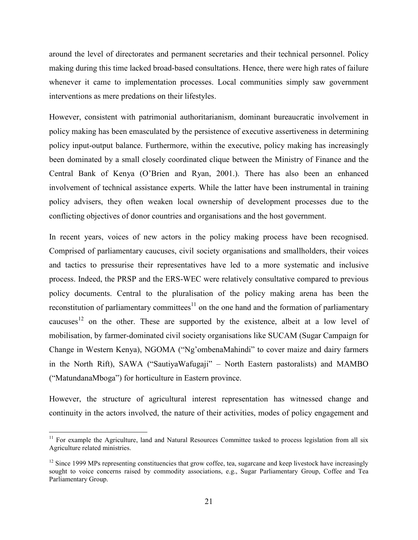around the level of directorates and permanent secretaries and their technical personnel. Policy making during this time lacked broad-based consultations. Hence, there were high rates of failure whenever it came to implementation processes. Local communities simply saw government interventions as mere predations on their lifestyles.

However, consistent with patrimonial authoritarianism, dominant bureaucratic involvement in policy making has been emasculated by the persistence of executive assertiveness in determining policy input-output balance. Furthermore, within the executive, policy making has increasingly been dominated by a small closely coordinated clique between the Ministry of Finance and the Central Bank of Kenya (O'Brien and Ryan, 2001.). There has also been an enhanced involvement of technical assistance experts. While the latter have been instrumental in training policy advisers, they often weaken local ownership of development processes due to the conflicting objectives of donor countries and organisations and the host government.

In recent years, voices of new actors in the policy making process have been recognised. Comprised of parliamentary caucuses, civil society organisations and smallholders, their voices and tactics to pressurise their representatives have led to a more systematic and inclusive process. Indeed, the PRSP and the ERS-WEC were relatively consultative compared to previous policy documents. Central to the pluralisation of the policy making arena has been the reconstitution of parliamentary committees $11$  on the one hand and the formation of parliamentary caucuses<sup>12</sup> on the other. These are supported by the existence, albeit at a low level of mobilisation, by farmer-dominated civil society organisations like SUCAM (Sugar Campaign for Change in Western Kenya), NGOMA ("Ng'ombenaMahindi" to cover maize and dairy farmers in the North Rift), SAWA ("SautiyaWafugaji" – North Eastern pastoralists) and MAMBO ("MatundanaMboga") for horticulture in Eastern province.

However, the structure of agricultural interest representation has witnessed change and continuity in the actors involved, the nature of their activities, modes of policy engagement and

 $\overline{a}$ 

<sup>&</sup>lt;sup>11</sup> For example the Agriculture, land and Natural Resources Committee tasked to process legislation from all six Agriculture related ministries.

 $12$  Since 1999 MPs representing constituencies that grow coffee, tea, sugarcane and keep livestock have increasingly sought to voice concerns raised by commodity associations, e.g., Sugar Parliamentary Group, Coffee and Tea Parliamentary Group.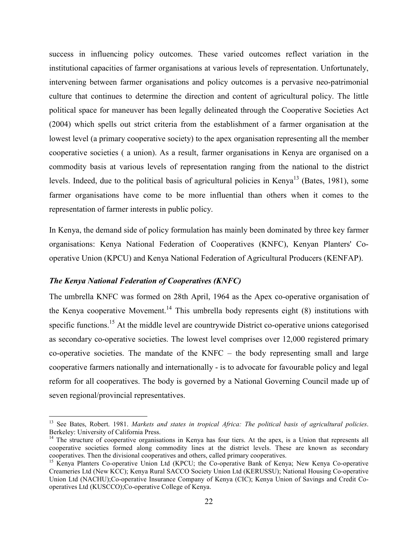success in influencing policy outcomes. These varied outcomes reflect variation in the institutional capacities of farmer organisations at various levels of representation. Unfortunately, intervening between farmer organisations and policy outcomes is a pervasive neo-patrimonial culture that continues to determine the direction and content of agricultural policy. The little political space for maneuver has been legally delineated through the Cooperative Societies Act (2004) which spells out strict criteria from the establishment of a farmer organisation at the lowest level (a primary cooperative society) to the apex organisation representing all the member cooperative societies ( a union). As a result, farmer organisations in Kenya are organised on a commodity basis at various levels of representation ranging from the national to the district levels. Indeed, due to the political basis of agricultural policies in Kenya<sup>13</sup> (Bates, 1981), some farmer organisations have come to be more influential than others when it comes to the representation of farmer interests in public policy.

In Kenya, the demand side of policy formulation has mainly been dominated by three key farmer organisations: Kenya National Federation of Cooperatives (KNFC), Kenyan Planters' Cooperative Union (KPCU) and Kenya National Federation of Agricultural Producers (KENFAP).

## *The Kenya National Federation of Cooperatives (KNFC)*

<u>.</u>

The umbrella KNFC was formed on 28th April, 1964 as the Apex co-operative organisation of the Kenya cooperative Movement.<sup>14</sup> This umbrella body represents eight  $(8)$  institutions with specific functions.<sup>15</sup> At the middle level are countrywide District co-operative unions categorised as secondary co-operative societies. The lowest level comprises over 12,000 registered primary co-operative societies. The mandate of the  $KNFC -$  the body representing small and large cooperative farmers nationally and internationally - is to advocate for favourable policy and legal reform for all cooperatives. The body is governed by a National Governing Council made up of seven regional/provincial representatives.

<sup>13</sup> See Bates, Robert. 1981. *Markets and states in tropical Africa: The political basis of agricultural policies*. Berkeley: University of California Press.

<sup>&</sup>lt;sup>14</sup> The structure of cooperative organisations in Kenya has four tiers. At the apex, is a Union that represents all cooperative societies formed along commodity lines at the district levels. These are known as secondary cooperatives. Then the divisional cooperatives and others, called primary cooperatives.

<sup>&</sup>lt;sup>15</sup> Kenya Planters Co-operative Union Ltd (KPCU; the Co-operative Bank of Kenya; New Kenya Co-operative Creameries Ltd (New KCC); Kenya Rural SACCO Society Union Ltd (KERUSSU); National Housing Co-operative Union Ltd (NACHU);Co-operative Insurance Company of Kenya (CIC); Kenya Union of Savings and Credit Cooperatives Ltd (KUSCCO);Co-operative College of Kenya.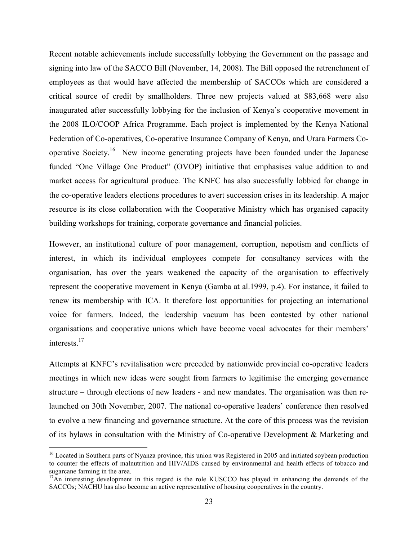Recent notable achievements include successfully lobbying the Government on the passage and signing into law of the SACCO Bill (November, 14, 2008). The Bill opposed the retrenchment of employees as that would have affected the membership of SACCOs which are considered a critical source of credit by smallholders. Three new projects valued at \$83,668 were also inaugurated after successfully lobbying for the inclusion of Kenya's cooperative movement in the 2008 ILO/COOP Africa Programme. Each project is implemented by the Kenya National Federation of Co-operatives, Co-operative Insurance Company of Kenya, and Urara Farmers Cooperative Society.<sup>16</sup> New income generating projects have been founded under the Japanese funded "One Village One Product" (OVOP) initiative that emphasises value addition to and market access for agricultural produce. The KNFC has also successfully lobbied for change in the co-operative leaders elections procedures to avert succession crises in its leadership. A major resource is its close collaboration with the Cooperative Ministry which has organised capacity building workshops for training, corporate governance and financial policies.

However, an institutional culture of poor management, corruption, nepotism and conflicts of interest, in which its individual employees compete for consultancy services with the organisation, has over the years weakened the capacity of the organisation to effectively represent the cooperative movement in Kenya (Gamba at al.1999, p.4). For instance, it failed to renew its membership with ICA. It therefore lost opportunities for projecting an international voice for farmers. Indeed, the leadership vacuum has been contested by other national organisations and cooperative unions which have become vocal advocates for their members' interests.<sup>17</sup>

Attempts at KNFC's revitalisation were preceded by nationwide provincial co-operative leaders meetings in which new ideas were sought from farmers to legitimise the emerging governance structure – through elections of new leaders - and new mandates. The organisation was then relaunched on 30th November, 2007. The national co-operative leaders' conference then resolved to evolve a new financing and governance structure. At the core of this process was the revision of its bylaws in consultation with the Ministry of Co-operative Development & Marketing and

-

<sup>&</sup>lt;sup>16</sup> Located in Southern parts of Nyanza province, this union was Registered in 2005 and initiated soybean production to counter the effects of malnutrition and HIV/AIDS caused by environmental and health effects of tobacco and sugarcane farming in the area.

<sup>&</sup>lt;sup>17</sup>An interesting development in this regard is the role KUSCCO has played in enhancing the demands of the SACCOs; NACHU has also become an active representative of housing cooperatives in the country.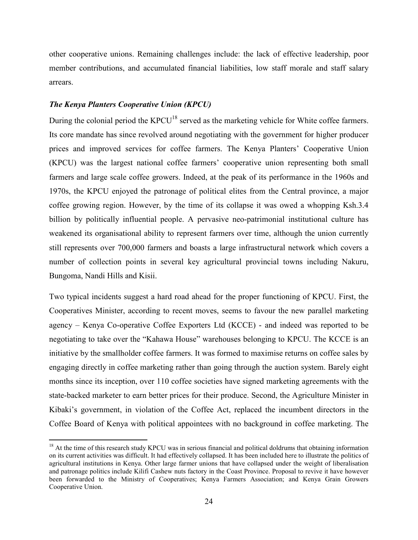other cooperative unions. Remaining challenges include: the lack of effective leadership, poor member contributions, and accumulated financial liabilities, low staff morale and staff salary arrears.

## *The Kenya Planters Cooperative Union (KPCU)*

 $\overline{a}$ 

During the colonial period the KPCU<sup>18</sup> served as the marketing vehicle for White coffee farmers. Its core mandate has since revolved around negotiating with the government for higher producer prices and improved services for coffee farmers. The Kenya Planters' Cooperative Union (KPCU) was the largest national coffee farmers' cooperative union representing both small farmers and large scale coffee growers. Indeed, at the peak of its performance in the 1960s and 1970s, the KPCU enjoyed the patronage of political elites from the Central province, a major coffee growing region. However, by the time of its collapse it was owed a whopping Ksh.3.4 billion by politically influential people. A pervasive neo-patrimonial institutional culture has weakened its organisational ability to represent farmers over time, although the union currently still represents over 700,000 farmers and boasts a large infrastructural network which covers a number of collection points in several key agricultural provincial towns including Nakuru, Bungoma, Nandi Hills and Kisii.

Two typical incidents suggest a hard road ahead for the proper functioning of KPCU. First, the Cooperatives Minister, according to recent moves, seems to favour the new parallel marketing agency – Kenya Co-operative Coffee Exporters Ltd (KCCE) - and indeed was reported to be negotiating to take over the "Kahawa House" warehouses belonging to KPCU. The KCCE is an initiative by the smallholder coffee farmers. It was formed to maximise returns on coffee sales by engaging directly in coffee marketing rather than going through the auction system. Barely eight months since its inception, over 110 coffee societies have signed marketing agreements with the state-backed marketer to earn better prices for their produce. Second, the Agriculture Minister in Kibaki's government, in violation of the Coffee Act, replaced the incumbent directors in the Coffee Board of Kenya with political appointees with no background in coffee marketing. The

 $18$  At the time of this research study KPCU was in serious financial and political doldrums that obtaining information on its current activities was difficult. It had effectively collapsed. It has been included here to illustrate the politics of agricultural institutions in Kenya. Other large farmer unions that have collapsed under the weight of liberalisation and patronage politics include Kilifi Cashew nuts factory in the Coast Province. Proposal to revive it have however been forwarded to the Ministry of Cooperatives; Kenya Farmers Association; and Kenya Grain Growers Cooperative Union.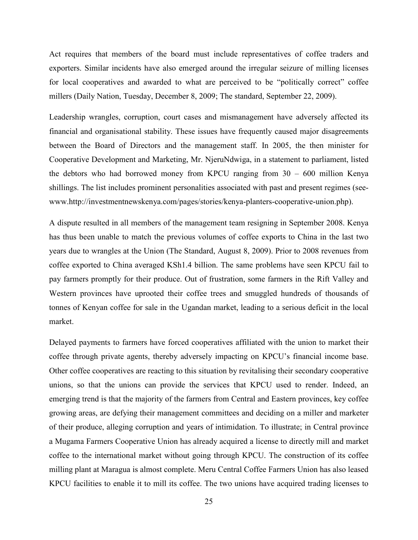Act requires that members of the board must include representatives of coffee traders and exporters. Similar incidents have also emerged around the irregular seizure of milling licenses for local cooperatives and awarded to what are perceived to be "politically correct" coffee millers (Daily Nation, Tuesday, December 8, 2009; The standard, September 22, 2009).

Leadership wrangles, corruption, court cases and mismanagement have adversely affected its financial and organisational stability. These issues have frequently caused major disagreements between the Board of Directors and the management staff. In 2005, the then minister for Cooperative Development and Marketing, Mr. NjeruNdwiga, in a statement to parliament, listed the debtors who had borrowed money from KPCU ranging from 30 – 600 million Kenya shillings. The list includes prominent personalities associated with past and present regimes (seewww.http://investmentnewskenya.com/pages/stories/kenya-planters-cooperative-union.php).

A dispute resulted in all members of the management team resigning in September 2008. Kenya has thus been unable to match the previous volumes of coffee exports to China in the last two years due to wrangles at the Union (The Standard, August 8, 2009). Prior to 2008 revenues from coffee exported to China averaged KSh1.4 billion. The same problems have seen KPCU fail to pay farmers promptly for their produce. Out of frustration, some farmers in the Rift Valley and Western provinces have uprooted their coffee trees and smuggled hundreds of thousands of tonnes of Kenyan coffee for sale in the Ugandan market, leading to a serious deficit in the local market.

Delayed payments to farmers have forced cooperatives affiliated with the union to market their coffee through private agents, thereby adversely impacting on KPCU's financial income base. Other coffee cooperatives are reacting to this situation by revitalising their secondary cooperative unions, so that the unions can provide the services that KPCU used to render. Indeed, an emerging trend is that the majority of the farmers from Central and Eastern provinces, key coffee growing areas, are defying their management committees and deciding on a miller and marketer of their produce, alleging corruption and years of intimidation. To illustrate; in Central province a Mugama Farmers Cooperative Union has already acquired a license to directly mill and market coffee to the international market without going through KPCU. The construction of its coffee milling plant at Maragua is almost complete. Meru Central Coffee Farmers Union has also leased KPCU facilities to enable it to mill its coffee. The two unions have acquired trading licenses to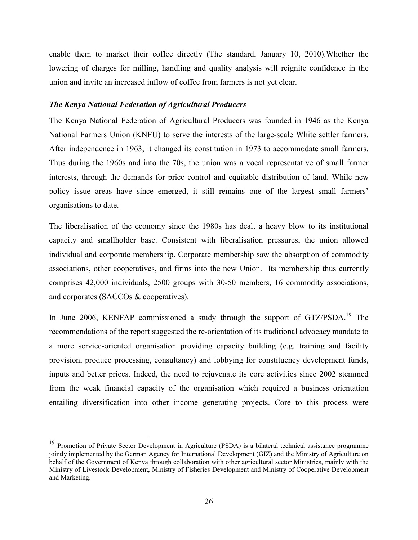enable them to market their coffee directly (The standard, January 10, 2010).Whether the lowering of charges for milling, handling and quality analysis will reignite confidence in the union and invite an increased inflow of coffee from farmers is not yet clear.

## *The Kenya National Federation of Agricultural Producers*

The Kenya National Federation of Agricultural Producers was founded in 1946 as the Kenya National Farmers Union (KNFU) to serve the interests of the large-scale White settler farmers. After independence in 1963, it changed its constitution in 1973 to accommodate small farmers. Thus during the 1960s and into the 70s, the union was a vocal representative of small farmer interests, through the demands for price control and equitable distribution of land. While new policy issue areas have since emerged, it still remains one of the largest small farmers' organisations to date.

The liberalisation of the economy since the 1980s has dealt a heavy blow to its institutional capacity and smallholder base. Consistent with liberalisation pressures, the union allowed individual and corporate membership. Corporate membership saw the absorption of commodity associations, other cooperatives, and firms into the new Union. Its membership thus currently comprises 42,000 individuals, 2500 groups with 30-50 members, 16 commodity associations, and corporates (SACCOs & cooperatives).

In June 2006, KENFAP commissioned a study through the support of GTZ/PSDA.<sup>19</sup> The recommendations of the report suggested the re-orientation of its traditional advocacy mandate to a more service-oriented organisation providing capacity building (e.g. training and facility provision, produce processing, consultancy) and lobbying for constituency development funds, inputs and better prices. Indeed, the need to rejuvenate its core activities since 2002 stemmed from the weak financial capacity of the organisation which required a business orientation entailing diversification into other income generating projects. Core to this process were

-

<sup>&</sup>lt;sup>19</sup> Promotion of Private Sector Development in Agriculture (PSDA) is a bilateral technical assistance programme jointly implemented by the German Agency for International Development (GIZ) and the Ministry of Agriculture on behalf of the Government of Kenya through collaboration with other agricultural sector Ministries, mainly with the Ministry of Livestock Development, Ministry of Fisheries Development and Ministry of Cooperative Development and Marketing.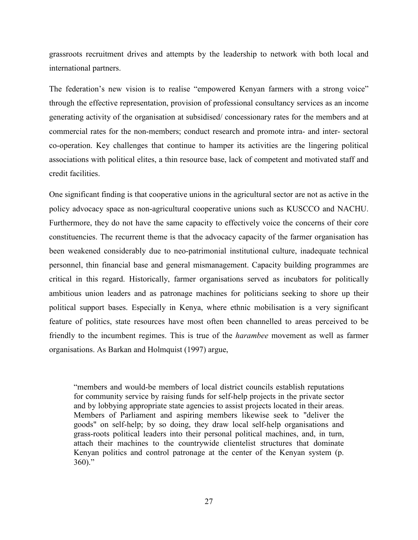grassroots recruitment drives and attempts by the leadership to network with both local and international partners.

The federation's new vision is to realise "empowered Kenyan farmers with a strong voice" through the effective representation, provision of professional consultancy services as an income generating activity of the organisation at subsidised/ concessionary rates for the members and at commercial rates for the non-members; conduct research and promote intra- and inter- sectoral co-operation. Key challenges that continue to hamper its activities are the lingering political associations with political elites, a thin resource base, lack of competent and motivated staff and credit facilities.

One significant finding is that cooperative unions in the agricultural sector are not as active in the policy advocacy space as non-agricultural cooperative unions such as KUSCCO and NACHU. Furthermore, they do not have the same capacity to effectively voice the concerns of their core constituencies. The recurrent theme is that the advocacy capacity of the farmer organisation has been weakened considerably due to neo-patrimonial institutional culture, inadequate technical personnel, thin financial base and general mismanagement. Capacity building programmes are critical in this regard. Historically, farmer organisations served as incubators for politically ambitious union leaders and as patronage machines for politicians seeking to shore up their political support bases. Especially in Kenya, where ethnic mobilisation is a very significant feature of politics, state resources have most often been channelled to areas perceived to be friendly to the incumbent regimes. This is true of the *harambee* movement as well as farmer organisations. As Barkan and Holmquist (1997) argue,

"members and would-be members of local district councils establish reputations for community service by raising funds for self-help projects in the private sector and by lobbying appropriate state agencies to assist projects located in their areas. Members of Parliament and aspiring members likewise seek to "deliver the goods" on self-help; by so doing, they draw local self-help organisations and grass-roots political leaders into their personal political machines, and, in turn, attach their machines to the countrywide clientelist structures that dominate Kenyan politics and control patronage at the center of the Kenyan system (p.  $360$ ."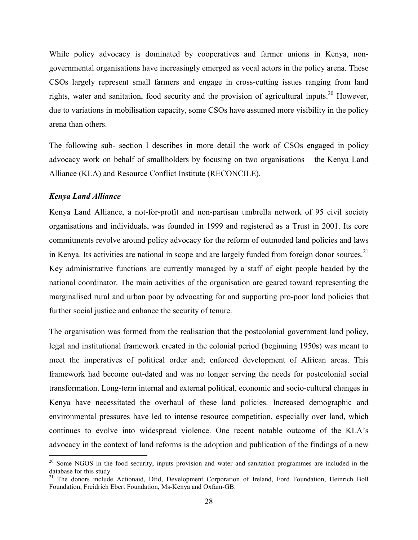While policy advocacy is dominated by cooperatives and farmer unions in Kenya, nongovernmental organisations have increasingly emerged as vocal actors in the policy arena. These CSOs largely represent small farmers and engage in cross-cutting issues ranging from land rights, water and sanitation, food security and the provision of agricultural inputs.<sup>20</sup> However, due to variations in mobilisation capacity, some CSOs have assumed more visibility in the policy arena than others.

The following sub- section l describes in more detail the work of CSOs engaged in policy advocacy work on behalf of smallholders by focusing on two organisations – the Kenya Land Alliance (KLA) and Resource Conflict Institute (RECONCILE).

## *Kenya Land Alliance*

<u>.</u>

Kenya Land Alliance, a not-for-profit and non-partisan umbrella network of 95 civil society organisations and individuals, was founded in 1999 and registered as a Trust in 2001. Its core commitments revolve around policy advocacy for the reform of outmoded land policies and laws in Kenya. Its activities are national in scope and are largely funded from foreign donor sources.<sup>21</sup> Key administrative functions are currently managed by a staff of eight people headed by the national coordinator. The main activities of the organisation are geared toward representing the marginalised rural and urban poor by advocating for and supporting pro-poor land policies that further social justice and enhance the security of tenure.

The organisation was formed from the realisation that the postcolonial government land policy, legal and institutional framework created in the colonial period (beginning 1950s) was meant to meet the imperatives of political order and; enforced development of African areas. This framework had become out-dated and was no longer serving the needs for postcolonial social transformation. Long-term internal and external political, economic and socio-cultural changes in Kenya have necessitated the overhaul of these land policies. Increased demographic and environmental pressures have led to intense resource competition, especially over land, which continues to evolve into widespread violence. One recent notable outcome of the KLA's advocacy in the context of land reforms is the adoption and publication of the findings of a new

<sup>&</sup>lt;sup>20</sup> Some NGOS in the food security, inputs provision and water and sanitation programmes are included in the database for this study.

<sup>&</sup>lt;sup>21</sup> The donors include Actionaid, Dfid, Development Corporation of Ireland, Ford Foundation, Heinrich Boll Foundation, Freidrich Ebert Foundation, Ms-Kenya and Oxfam-GB.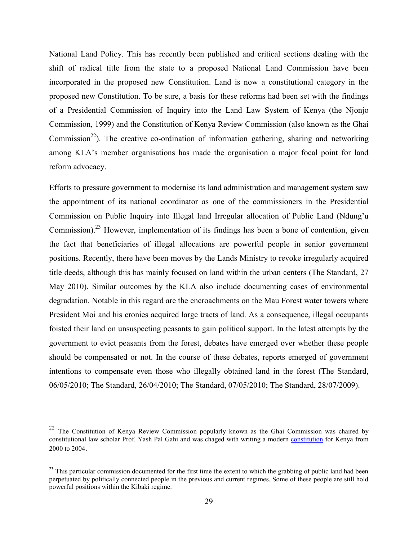National Land Policy. This has recently been published and critical sections dealing with the shift of radical title from the state to a proposed National Land Commission have been incorporated in the proposed new Constitution. Land is now a constitutional category in the proposed new Constitution. To be sure, a basis for these reforms had been set with the findings of a Presidential Commission of Inquiry into the Land Law System of Kenya (the Njonjo Commission, 1999) and the Constitution of Kenya Review Commission (also known as the Ghai Commission<sup>22</sup>). The creative co-ordination of information gathering, sharing and networking among KLA's member organisations has made the organisation a major focal point for land reform advocacy.

Efforts to pressure government to modernise its land administration and management system saw the appointment of its national coordinator as one of the commissioners in the Presidential Commission on Public Inquiry into Illegal land Irregular allocation of Public Land (Ndung'u Commission).<sup>23</sup> However, implementation of its findings has been a bone of contention, given the fact that beneficiaries of illegal allocations are powerful people in senior government positions. Recently, there have been moves by the Lands Ministry to revoke irregularly acquired title deeds, although this has mainly focused on land within the urban centers (The Standard, 27 May 2010). Similar outcomes by the KLA also include documenting cases of environmental degradation. Notable in this regard are the encroachments on the Mau Forest water towers where President Moi and his cronies acquired large tracts of land. As a consequence, illegal occupants foisted their land on unsuspecting peasants to gain political support. In the latest attempts by the government to evict peasants from the forest, debates have emerged over whether these people should be compensated or not. In the course of these debates, reports emerged of government intentions to compensate even those who illegally obtained land in the forest (The Standard, 06/05/2010; The Standard, 26/04/2010; The Standard, 07/05/2010; The Standard, 28/07/2009).

 $22\,$ The Constitution of Kenya Review Commission popularly known as the Ghai Commission was chaired by constitutional law scholar Prof. Yash Pal Gahi and was chaged with writing a modern constitution for Kenya from 2000 to 2004.

 $^{23}$  This particular commission documented for the first time the extent to which the grabbing of public land had been perpetuated by politically connected people in the previous and current regimes. Some of these people are still hold powerful positions within the Kibaki regime.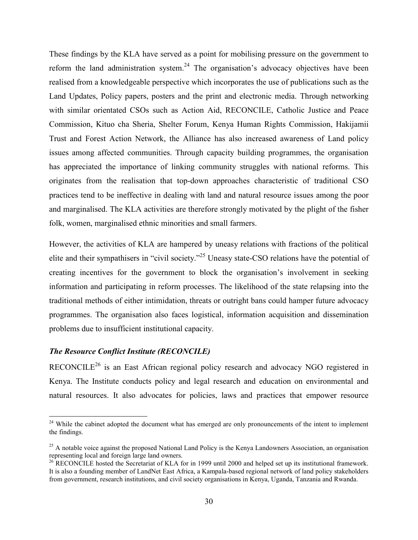These findings by the KLA have served as a point for mobilising pressure on the government to reform the land administration system.<sup>24</sup> The organisation's advocacy objectives have been realised from a knowledgeable perspective which incorporates the use of publications such as the Land Updates, Policy papers, posters and the print and electronic media. Through networking with similar orientated CSOs such as Action Aid, RECONCILE, Catholic Justice and Peace Commission, Kituo cha Sheria, Shelter Forum, Kenya Human Rights Commission, Hakijamii Trust and Forest Action Network, the Alliance has also increased awareness of Land policy issues among affected communities. Through capacity building programmes, the organisation has appreciated the importance of linking community struggles with national reforms. This originates from the realisation that top-down approaches characteristic of traditional CSO practices tend to be ineffective in dealing with land and natural resource issues among the poor and marginalised. The KLA activities are therefore strongly motivated by the plight of the fisher folk, women, marginalised ethnic minorities and small farmers.

However, the activities of KLA are hampered by uneasy relations with fractions of the political elite and their sympathisers in "civil society."<sup>25</sup> Uneasy state-CSO relations have the potential of creating incentives for the government to block the organisation's involvement in seeking information and participating in reform processes. The likelihood of the state relapsing into the traditional methods of either intimidation, threats or outright bans could hamper future advocacy programmes. The organisation also faces logistical, information acquisition and dissemination problems due to insufficient institutional capacity.

## *The Resource Conflict Institute (RECONCILE)*

 $\overline{a}$ 

RECONCILE<sup>26</sup> is an East African regional policy research and advocacy NGO registered in Kenya. The Institute conducts policy and legal research and education on environmental and natural resources. It also advocates for policies, laws and practices that empower resource

<sup>&</sup>lt;sup>24</sup> While the cabinet adopted the document what has emerged are only pronouncements of the intent to implement the findings.

 $^{25}$  A notable voice against the proposed National Land Policy is the Kenya Landowners Association, an organisation representing local and foreign large land owners.

<sup>&</sup>lt;sup>26</sup> RECONCILE hosted the Secretariat of KLA for in 1999 until 2000 and helped set up its institutional framework. It is also a founding member of LandNet East Africa, a Kampala-based regional network of land policy stakeholders from government, research institutions, and civil society organisations in Kenya, Uganda, Tanzania and Rwanda.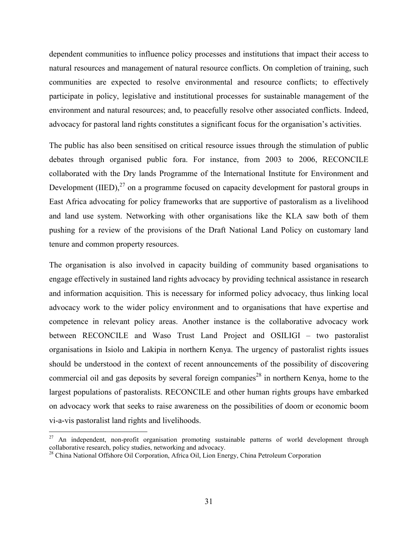dependent communities to influence policy processes and institutions that impact their access to natural resources and management of natural resource conflicts. On completion of training, such communities are expected to resolve environmental and resource conflicts; to effectively participate in policy, legislative and institutional processes for sustainable management of the environment and natural resources; and, to peacefully resolve other associated conflicts. Indeed, advocacy for pastoral land rights constitutes a significant focus for the organisation's activities.

The public has also been sensitised on critical resource issues through the stimulation of public debates through organised public fora. For instance, from 2003 to 2006, RECONCILE collaborated with the Dry lands Programme of the International Institute for Environment and Development (IIED), $^{27}$  on a programme focused on capacity development for pastoral groups in East Africa advocating for policy frameworks that are supportive of pastoralism as a livelihood and land use system. Networking with other organisations like the KLA saw both of them pushing for a review of the provisions of the Draft National Land Policy on customary land tenure and common property resources.

The organisation is also involved in capacity building of community based organisations to engage effectively in sustained land rights advocacy by providing technical assistance in research and information acquisition. This is necessary for informed policy advocacy, thus linking local advocacy work to the wider policy environment and to organisations that have expertise and competence in relevant policy areas. Another instance is the collaborative advocacy work between RECONCILE and Waso Trust Land Project and OSILIGI – two pastoralist organisations in Isiolo and Lakipia in northern Kenya. The urgency of pastoralist rights issues should be understood in the context of recent announcements of the possibility of discovering commercial oil and gas deposits by several foreign companies<sup>28</sup> in northern Kenya, home to the largest populations of pastoralists. RECONCILE and other human rights groups have embarked on advocacy work that seeks to raise awareness on the possibilities of doom or economic boom vi-a-vis pastoralist land rights and livelihoods.

-

<sup>&</sup>lt;sup>27</sup> An independent, non-profit organisation promoting sustainable patterns of world development through collaborative research, policy studies, networking and advocacy.

<sup>&</sup>lt;sup>28</sup> China National Offshore Oil Corporation, Africa Oil, Lion Energy, China Petroleum Corporation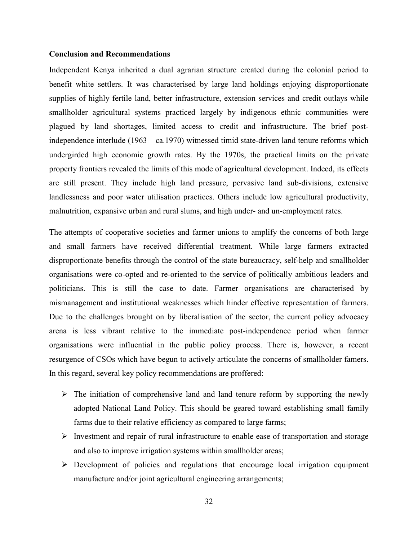## **Conclusion and Recommendations**

Independent Kenya inherited a dual agrarian structure created during the colonial period to benefit white settlers. It was characterised by large land holdings enjoying disproportionate supplies of highly fertile land, better infrastructure, extension services and credit outlays while smallholder agricultural systems practiced largely by indigenous ethnic communities were plagued by land shortages, limited access to credit and infrastructure. The brief postindependence interlude (1963 – ca.1970) witnessed timid state-driven land tenure reforms which undergirded high economic growth rates. By the 1970s, the practical limits on the private property frontiers revealed the limits of this mode of agricultural development. Indeed, its effects are still present. They include high land pressure, pervasive land sub-divisions, extensive landlessness and poor water utilisation practices. Others include low agricultural productivity, malnutrition, expansive urban and rural slums, and high under- and un-employment rates.

The attempts of cooperative societies and farmer unions to amplify the concerns of both large and small farmers have received differential treatment. While large farmers extracted disproportionate benefits through the control of the state bureaucracy, self-help and smallholder organisations were co-opted and re-oriented to the service of politically ambitious leaders and politicians. This is still the case to date. Farmer organisations are characterised by mismanagement and institutional weaknesses which hinder effective representation of farmers. Due to the challenges brought on by liberalisation of the sector, the current policy advocacy arena is less vibrant relative to the immediate post-independence period when farmer organisations were influential in the public policy process. There is, however, a recent resurgence of CSOs which have begun to actively articulate the concerns of smallholder famers. In this regard, several key policy recommendations are proffered:

- $\triangleright$  The initiation of comprehensive land and land tenure reform by supporting the newly adopted National Land Policy. This should be geared toward establishing small family farms due to their relative efficiency as compared to large farms;
- $\triangleright$  Investment and repair of rural infrastructure to enable ease of transportation and storage and also to improve irrigation systems within smallholder areas;
- Development of policies and regulations that encourage local irrigation equipment manufacture and/or joint agricultural engineering arrangements;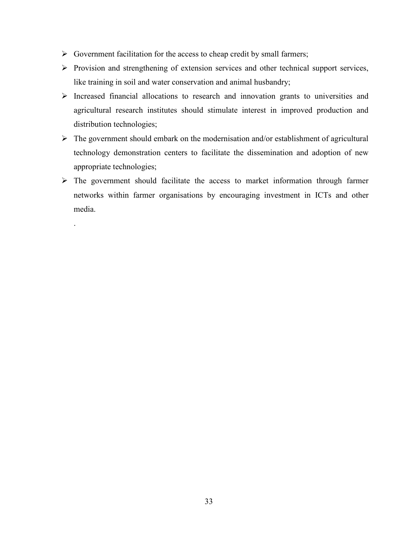$\triangleright$  Government facilitation for the access to cheap credit by small farmers;

.

- $\triangleright$  Provision and strengthening of extension services and other technical support services, like training in soil and water conservation and animal husbandry;
- $\triangleright$  Increased financial allocations to research and innovation grants to universities and agricultural research institutes should stimulate interest in improved production and distribution technologies;
- $\triangleright$  The government should embark on the modernisation and/or establishment of agricultural technology demonstration centers to facilitate the dissemination and adoption of new appropriate technologies;
- $\triangleright$  The government should facilitate the access to market information through farmer networks within farmer organisations by encouraging investment in ICTs and other media.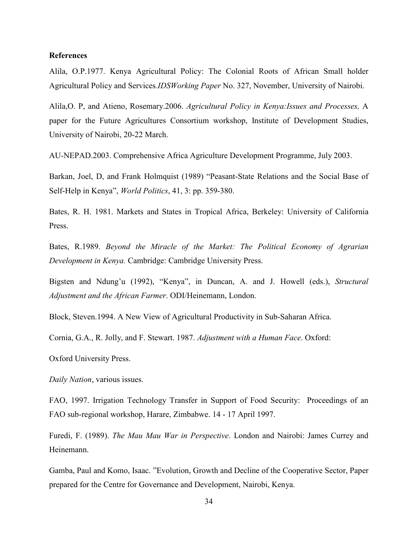## **References**

Alila, O.P.1977. Kenya Agricultural Policy: The Colonial Roots of African Small holder Agricultural Policy and Services*.IDSWorking Paper* No. 327, November, University of Nairobi.

Alila,O. P, and Atieno, Rosemary.2006. *Agricultural Policy in Kenya:Issues and Processes,* A paper for the Future Agricultures Consortium workshop, Institute of Development Studies, University of Nairobi, 20-22 March.

AU-NEPAD.2003. Comprehensive Africa Agriculture Development Programme, July 2003.

Barkan, Joel, D, and Frank Holmquist (1989) "Peasant-State Relations and the Social Base of Self-Help in Kenya", *World Politics*, 41, 3: pp. 359-380.

Bates, R. H. 1981. Markets and States in Tropical Africa, Berkeley: University of California Press.

Bates, R.1989. *Beyond the Miracle of the Market: The Political Economy of Agrarian Development in Kenya.* Cambridge: Cambridge University Press.

Bigsten and Ndung'u (1992), "Kenya", in Duncan, A. and J. Howell (eds.), *Structural Adjustment and the African Farmer*. ODI/Heinemann, London.

Block, Steven.1994. A New View of Agricultural Productivity in Sub-Saharan Africa.

Cornia, G.A., R. Jolly, and F. Stewart. 1987. *Adjustment with a Human Face*. Oxford:

Oxford University Press.

*Daily Nation*, various issues.

FAO, 1997. Irrigation Technology Transfer in Support of Food Security: Proceedings of an FAO sub-regional workshop, Harare, Zimbabwe. 14 - 17 April 1997.

Furedi, F. (1989). *The Mau Mau War in Perspective*. London and Nairobi: James Currey and Heinemann.

Gamba, Paul and Komo, Isaac. "Evolution, Growth and Decline of the Cooperative Sector, Paper prepared for the Centre for Governance and Development, Nairobi, Kenya.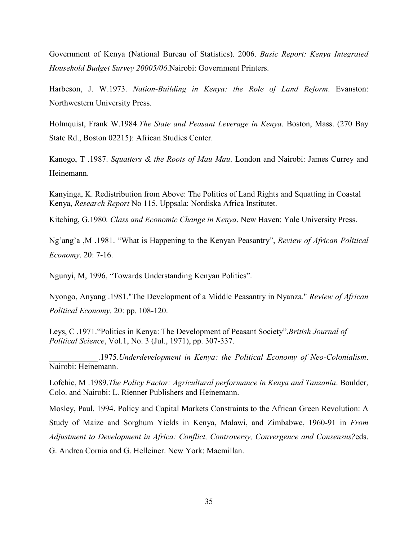Government of Kenya (National Bureau of Statistics). 2006. *Basic Report: Kenya Integrated Household Budget Survey 20005/06*.Nairobi: Government Printers.

Harbeson, J. W.1973. *Nation-Building in Kenya: the Role of Land Reform*. Evanston: Northwestern University Press.

Holmquist, Frank W.1984.*The State and Peasant Leverage in Kenya*. Boston, Mass. (270 Bay State Rd., Boston 02215): African Studies Center.

Kanogo, T .1987. *Squatters & the Roots of Mau Mau*. London and Nairobi: James Currey and Heinemann.

Kanyinga, K. Redistribution from Above: The Politics of Land Rights and Squatting in Coastal Kenya, *Research Report* No 115. Uppsala: Nordiska Africa Institutet.

Kitching, G*.*1980*. Class and Economic Change in Kenya*. New Haven: Yale University Press.

Ng'ang'a ,M .1981. "What is Happening to the Kenyan Peasantry", *Review of African Political Economy*. 20: 7-16.

Ngunyi, M, 1996, "Towards Understanding Kenyan Politics".

Nyongo, Anyang .1981."The Development of a Middle Peasantry in Nyanza." *Review of African Political Economy.* 20: pp. 108-120.

Leys, C .1971."Politics in Kenya: The Development of Peasant Society".*British Journal of Political Science*, Vol.1, No. 3 (Jul., 1971), pp. 307-337.

\_\_\_\_\_\_\_\_\_\_\_\_.1975.*Underdevelopment in Kenya: the Political Economy of Neo-Colonialism*. Nairobi: Heinemann.

Lofchie, M .1989.*The Policy Factor: Agricultural performance in Kenya and Tanzania*. Boulder, Colo. and Nairobi: L. Rienner Publishers and Heinemann.

Mosley, Paul. 1994. Policy and Capital Markets Constraints to the African Green Revolution: A Study of Maize and Sorghum Yields in Kenya, Malawi, and Zimbabwe, 1960-91 in *From Adjustment to Development in Africa: Conflict, Controversy, Convergence and Consensus?*eds. G. Andrea Cornia and G. Helleiner. New York: Macmillan.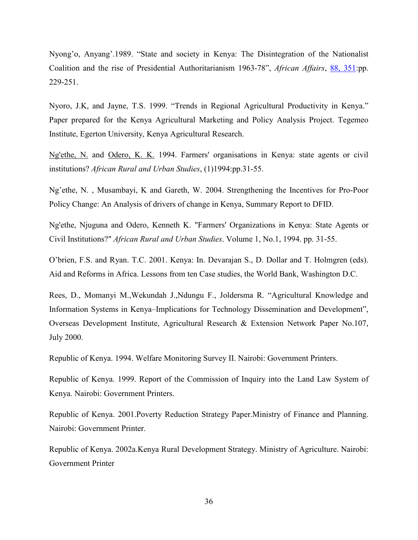Nyong'o, Anyang'.1989. "State and society in Kenya: The Disintegration of the Nationalist Coalition and the rise of Presidential Authoritarianism 1963-78", *African Affairs*, 88, 351:pp. 229-251.

Nyoro, J.K, and Jayne, T.S. 1999. "Trends in Regional Agricultural Productivity in Kenya." Paper prepared for the Kenya Agricultural Marketing and Policy Analysis Project. Tegemeo Institute, Egerton University, Kenya Agricultural Research.

Ng'ethe, N. and Odero, K. K. 1994. Farmers' organisations in Kenya: state agents or civil institutions? *African Rural and Urban Studies*, (1)1994:pp.31-55.

Ng'ethe, N. , Musambayi, K and Gareth, W. 2004. Strengthening the Incentives for Pro-Poor Policy Change: An Analysis of drivers of change in Kenya, Summary Report to DFID.

Ng'ethe, Njuguna and Odero, Kenneth K. "Farmers' Organizations in Kenya: State Agents or Civil Institutions?" *African Rural and Urban Studies*. Volume 1, No.1, 1994. pp. 31-55.

O'brien, F.S. and Ryan. T.C. 2001. Kenya: In. Devarajan S., D. Dollar and T. Holmgren (eds). Aid and Reforms in Africa. Lessons from ten Case studies, the World Bank, Washington D.C.

Rees, D., Momanyi M.,Wekundah J.,Ndungu F., Joldersma R. "Agricultural Knowledge and Information Systems in Kenya–Implications for Technology Dissemination and Development", Overseas Development Institute, Agricultural Research & Extension Network Paper No.107, July 2000.

Republic of Kenya. 1994. Welfare Monitoring Survey II. Nairobi: Government Printers.

Republic of Kenya. 1999. Report of the Commission of Inquiry into the Land Law System of Kenya. Nairobi: Government Printers.

Republic of Kenya. 2001.Poverty Reduction Strategy Paper.Ministry of Finance and Planning. Nairobi: Government Printer.

Republic of Kenya. 2002a.Kenya Rural Development Strategy. Ministry of Agriculture. Nairobi: Government Printer

36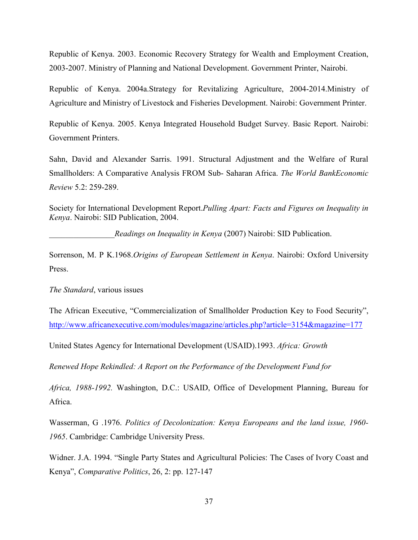Republic of Kenya. 2003. Economic Recovery Strategy for Wealth and Employment Creation, 2003-2007. Ministry of Planning and National Development. Government Printer, Nairobi.

Republic of Kenya. 2004a.Strategy for Revitalizing Agriculture, 2004-2014.Ministry of Agriculture and Ministry of Livestock and Fisheries Development. Nairobi: Government Printer.

Republic of Kenya. 2005. Kenya Integrated Household Budget Survey. Basic Report. Nairobi: Government Printers.

Sahn, David and Alexander Sarris. 1991. Structural Adjustment and the Welfare of Rural Smallholders: A Comparative Analysis FROM Sub- Saharan Africa. *The World BankEconomic Review* 5.2: 259-289.

Society for International Development Report.*Pulling Apart: Facts and Figures on Inequality in Kenya*. Nairobi: SID Publication, 2004.

*\_\_\_\_\_\_\_\_\_\_\_\_\_\_\_\_Readings on Inequality in Kenya* (2007) Nairobi: SID Publication.

Sorrenson, M. P K.1968.*Origins of European Settlement in Kenya*. Nairobi: Oxford University Press.

*The Standard*, various issues

The African Executive, "Commercialization of Smallholder Production Key to Food Security", http://www.africanexecutive.com/modules/magazine/articles.php?article=3154&magazine=177

United States Agency for International Development (USAID).1993. *Africa: Growth* 

*Renewed Hope Rekindled: A Report on the Performance of the Development Fund for* 

*Africa, 1988-1992.* Washington, D.C.: USAID, Office of Development Planning, Bureau for Africa.

Wasserman, G .1976. *Politics of Decolonization: Kenya Europeans and the land issue, 1960- 1965*. Cambridge: Cambridge University Press.

Widner. J.A. 1994. "Single Party States and Agricultural Policies: The Cases of Ivory Coast and Kenya", *Comparative Politics*, 26, 2: pp. 127-147